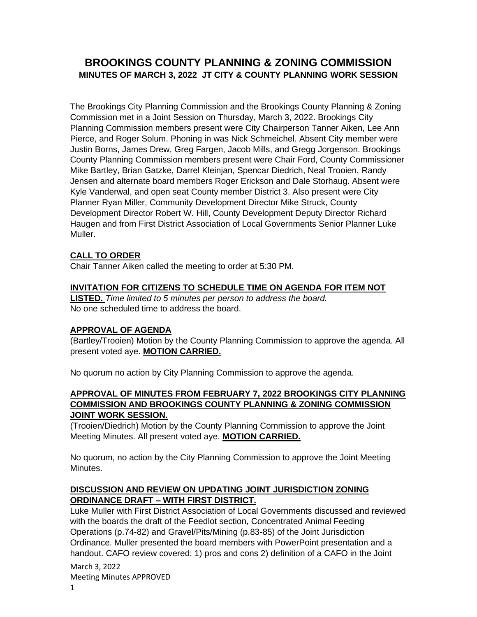# **BROOKINGS COUNTY PLANNING & ZONING COMMISSION MINUTES OF MARCH 3, 2022 JT CITY & COUNTY PLANNING WORK SESSION**

The Brookings City Planning Commission and the Brookings County Planning & Zoning Commission met in a Joint Session on Thursday, March 3, 2022. Brookings City Planning Commission members present were City Chairperson Tanner Aiken, Lee Ann Pierce, and Roger Solum. Phoning in was Nick Schmeichel. Absent City member were Justin Borns, James Drew, Greg Fargen, Jacob Mills, and Gregg Jorgenson. Brookings County Planning Commission members present were Chair Ford, County Commissioner Mike Bartley, Brian Gatzke, Darrel Kleinjan, Spencar Diedrich, Neal Trooien, Randy Jensen and alternate board members Roger Erickson and Dale Storhaug. Absent were Kyle Vanderwal, and open seat County member District 3. Also present were City Planner Ryan Miller, Community Development Director Mike Struck, County Development Director Robert W. Hill, County Development Deputy Director Richard Haugen and from First District Association of Local Governments Senior Planner Luke Muller.

## **CALL TO ORDER**

Chair Tanner Aiken called the meeting to order at 5:30 PM.

#### **INVITATION FOR CITIZENS TO SCHEDULE TIME ON AGENDA FOR ITEM NOT**

**LISTED.** *Time limited to 5 minutes per person to address the board.*  No one scheduled time to address the board.

#### **APPROVAL OF AGENDA**

(Bartley/Trooien) Motion by the County Planning Commission to approve the agenda. All present voted aye. **MOTION CARRIED.**

No quorum no action by City Planning Commission to approve the agenda.

#### **APPROVAL OF MINUTES FROM FEBRUARY 7, 2022 BROOKINGS CITY PLANNING COMMISSION AND BROOKINGS COUNTY PLANNING & ZONING COMMISSION JOINT WORK SESSION.**

(Trooien/Diedrich) Motion by the County Planning Commission to approve the Joint Meeting Minutes. All present voted aye. **MOTION CARRIED.**

No quorum, no action by the City Planning Commission to approve the Joint Meeting Minutes.

#### **DISCUSSION AND REVIEW ON UPDATING JOINT JURISDICTION ZONING ORDINANCE DRAFT – WITH FIRST DISTRICT.**

Luke Muller with First District Association of Local Governments discussed and reviewed with the boards the draft of the Feedlot section, Concentrated Animal Feeding Operations (p.74-82) and Gravel/Pits/Mining (p.83-85) of the Joint Jurisdiction Ordinance. Muller presented the board members with PowerPoint presentation and a handout. CAFO review covered: 1) pros and cons 2) definition of a CAFO in the Joint

March 3, 2022 Meeting Minutes APPROVED